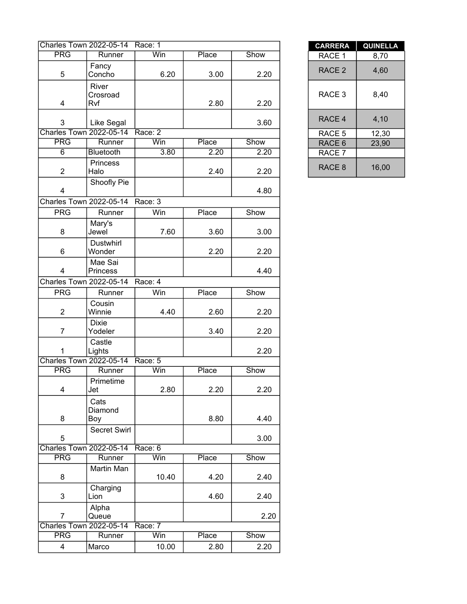|                                | <b>Charles Town 2022-05-14</b> | Race: 1 |       |      | <b>CARRERA</b>    | <b>QUINEL</b> |
|--------------------------------|--------------------------------|---------|-------|------|-------------------|---------------|
| <b>PRG</b>                     | Runner                         | Win     | Place | Show | RACE 1            | 8,70          |
| 5                              | Fancy<br>Concho                | 6.20    | 3.00  | 2.20 | RACE <sub>2</sub> | 4,60          |
| 4                              | River<br>Crosroad<br>Rvf       |         | 2.80  | 2.20 | RACE 3            | 8,40          |
| 3                              | Like Segal                     |         |       | 3.60 | RACE 4            | 4,10          |
| <b>Charles Town 2022-05-14</b> |                                | Race: 2 |       |      | RACE 5            | 12,30         |
| <b>PRG</b>                     | Runner                         | Win     | Place | Show | RACE 6            | 23,90         |
| $\overline{6}$                 | <b>Bluetooth</b>               | 3.80    | 2.20  | 2.20 | RACE 7            |               |
| $\overline{2}$                 | Princess<br>Halo               |         | 2.40  | 2.20 | RACE 8            | 16,00         |
| $\overline{4}$                 | Shoofly Pie                    |         |       | 4.80 |                   |               |
| Charles Town 2022-05-14        |                                | Race: 3 |       |      |                   |               |
| <b>PRG</b>                     | Runner                         | Win     | Place | Show |                   |               |
| 8                              | Mary's<br>Jewel                | 7.60    | 3.60  | 3.00 |                   |               |
| 6                              | Dustwhirl<br>Wonder            |         | 2.20  | 2.20 |                   |               |
| 4                              | Mae Sai<br>Princess            |         |       | 4.40 |                   |               |
|                                | Charles Town 2022-05-14        | Race: 4 |       |      |                   |               |
| <b>PRG</b>                     | Runner                         | Win     | Place | Show |                   |               |
| $\overline{c}$                 | Cousin<br>Winnie               | 4.40    | 2.60  | 2.20 |                   |               |
| $\overline{7}$                 | <b>Dixie</b><br>Yodeler        |         | 3.40  | 2.20 |                   |               |
| 1                              | Castle<br>Lights               |         |       | 2.20 |                   |               |
|                                | <b>Charles Town 2022-05-14</b> | Race: 5 |       |      |                   |               |
| <b>PRG</b>                     | Runner                         | Win     | Place | Show |                   |               |
| 4                              | Primetime<br>Jet               | 2.80    | 2.20  | 2.20 |                   |               |
| 8                              | Cats<br>Diamond<br>Boy         |         | 8.80  | 4.40 |                   |               |
| 5                              | Secret Swirl                   |         |       | 3.00 |                   |               |
|                                | <b>Charles Town 2022-05-14</b> | Race: 6 |       |      |                   |               |
| <b>PRG</b>                     | Runner                         | Win     | Place | Show |                   |               |
| 8                              | Martin Man                     | 10.40   | 4.20  | 2.40 |                   |               |
| 3                              | Charging<br>Lion               |         | 4.60  | 2.40 |                   |               |
| $\overline{7}$                 | Alpha<br>Queue                 |         |       | 2.20 |                   |               |
| <b>Charles Town 2022-05-14</b> |                                | Race: 7 |       |      |                   |               |
| <b>PRG</b>                     | Runner                         | Win     | Place | Show |                   |               |
| $\overline{4}$                 | Marco                          | 10.00   | 2.80  | 2.20 |                   |               |

| <b>CARRERA</b>    | <b>QUINELLA</b> |
|-------------------|-----------------|
| RACE 1            | 8.70            |
| RACE <sub>2</sub> | 4,60            |
| RACE 3            | 8,40            |
| RACE 4            | 4,10            |
| RACE 5            | 12,30           |
| RACE <sub>6</sub> | 23,90           |
| RACE 7            |                 |
| RACE <sub>8</sub> | 16,00           |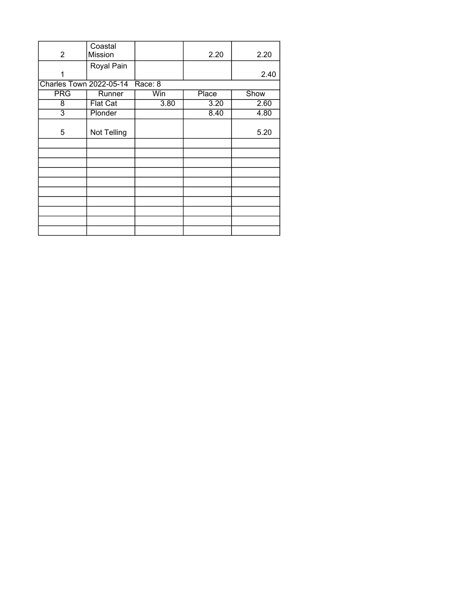| $\overline{2}$                 | Coastal<br><b>Mission</b> |         | 2.20         | 2.20 |
|--------------------------------|---------------------------|---------|--------------|------|
| 1                              | Royal Pain                |         |              | 2.40 |
| <b>Charles Town 2022-05-14</b> |                           | Race: 8 |              |      |
| <b>PRG</b>                     | Runner                    | Win     | <b>Place</b> | Show |
| 8                              | <b>Flat Cat</b>           | 3.80    | 3.20         | 2.60 |
| $\overline{3}$                 | Plonder                   |         | 8.40         | 4.80 |
| 5                              | Not Telling               |         |              | 5.20 |
|                                |                           |         |              |      |
|                                |                           |         |              |      |
|                                |                           |         |              |      |
|                                |                           |         |              |      |
|                                |                           |         |              |      |
|                                |                           |         |              |      |
|                                |                           |         |              |      |
|                                |                           |         |              |      |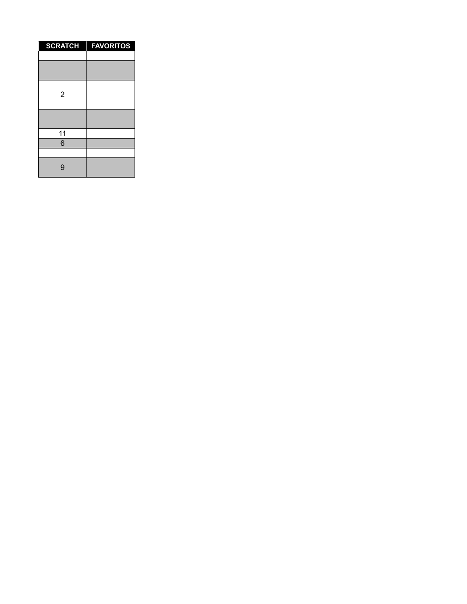| <b>SCRATCH</b> | <b>FAVORITOS</b><br>I |
|----------------|-----------------------|
|                |                       |
|                |                       |
| $\overline{2}$ |                       |
|                |                       |
| 11             |                       |
| 6              |                       |
|                |                       |
| 9              |                       |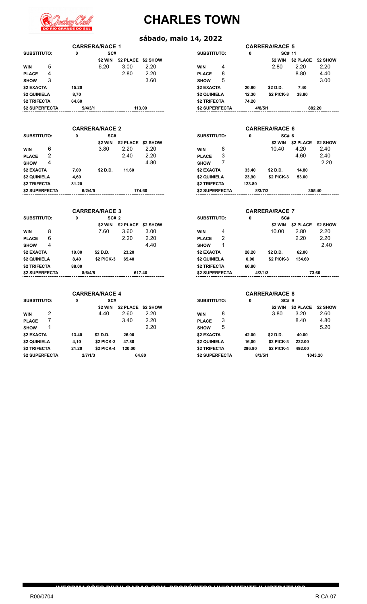

#### **sábado, maio 14, 2022**

|                                |              | <b>CARRERA/RACE 1</b> |        |                    |                                |              | <b>CARRERA/RACE 5</b> |                  |          |
|--------------------------------|--------------|-----------------------|--------|--------------------|--------------------------------|--------------|-----------------------|------------------|----------|
| <b>SUBSTITUTO:</b>             | $\mathbf{0}$ | SC#                   |        |                    | <b>SUBSTITUTO:</b>             | $\mathbf{0}$ | SC# 11                |                  |          |
|                                |              | \$2 WIN               |        | \$2 PLACE \$2 SHOW |                                |              | \$2 WIN               | \$2 PLACE        | \$2 SHOW |
| 5<br><b>WIN</b>                |              | 6.20                  | 3.00   | 2.20               | 4<br><b>WIN</b>                |              | 2.80                  | 2.20             | 2.20     |
| 4<br><b>PLACE</b>              |              |                       | 2.80   | 2.20               | 8<br><b>PLACE</b>              |              |                       | 8.80             | 4.40     |
| 3<br><b>SHOW</b>               |              |                       |        | 3.60               | 5<br><b>SHOW</b>               |              |                       |                  | 3.00     |
| \$2 EXACTA                     | 15.20        |                       |        |                    | \$2 EXACTA                     | 20.80        | \$2 D.D.              | 7.40             |          |
| \$2 QUINIELA                   | 8,70         |                       |        |                    | \$2 QUINIELA                   | 12,30        | \$2 PICK-3            | 38.80            |          |
| \$2 TRIFECTA                   | 64.60        |                       |        |                    | \$2 TRIFECTA                   | 74.20        |                       |                  |          |
| \$2 SUPERFECTA                 | 5/4/3/1      |                       | 113.00 |                    | \$2 SUPERFECTA                 | 4/8/5/1      |                       |                  | 882.20   |
|                                |              |                       |        |                    |                                |              |                       |                  |          |
|                                |              | <b>CARRERA/RACE 2</b> |        |                    |                                |              | <b>CARRERA/RACE 6</b> |                  |          |
| <b>SUBSTITUTO:</b>             | 0            | SC#                   |        |                    | <b>SUBSTITUTO:</b>             | 0            | SC# 6                 |                  |          |
|                                |              | \$2 WIN               |        | \$2 PLACE \$2 SHOW |                                |              | \$2 WIN               | <b>\$2 PLACE</b> | \$2 SHOW |
| 6<br><b>WIN</b>                |              | 3.80                  | 2.20   | 2.20               | 8<br><b>WIN</b>                |              | 10.40                 | 4.20             | 2.40     |
| $\overline{2}$<br><b>PLACE</b> |              |                       | 2.40   | 2.20               | 3<br><b>PLACE</b>              |              |                       | 4.60             | 2.40     |
| 4<br><b>SHOW</b>               |              |                       |        | 4.80               | 7<br><b>SHOW</b>               |              |                       |                  | 2.20     |
| \$2 EXACTA                     | 7.00         | \$2 D.D.              | 11.60  |                    | \$2 EXACTA                     | 33.40        | \$2 D.D.              | 14.80            |          |
| \$2 QUINIELA                   | 4,60         |                       |        |                    | \$2 QUINIELA                   | 23,90        | \$2 PICK-3            | 53.00            |          |
| <b>\$2 TRIFECTA</b>            | 81.20        |                       |        |                    | <b>\$2 TRIFECTA</b>            | 123.80       |                       |                  |          |
| \$2 SUPERFECTA                 | 6/2/4/5      |                       | 174.60 |                    | \$2 SUPERFECTA                 | 8/3/7/2      |                       |                  | 355.40   |
|                                |              |                       |        |                    |                                |              |                       |                  |          |
|                                |              |                       |        |                    |                                |              |                       |                  |          |
|                                |              |                       |        |                    |                                |              |                       |                  |          |
|                                |              | <b>CARRERA/RACE 3</b> |        |                    |                                |              | <b>CARRERA/RACE 7</b> |                  |          |
| <b>SUBSTITUTO:</b>             | 0            | SC# 2                 |        |                    | <b>SUBSTITUTO:</b>             | 0            | SC#                   |                  |          |
|                                |              | \$2 WIN               |        | \$2 PLACE \$2 SHOW |                                |              | \$2 WIN               | <b>\$2 PLACE</b> | \$2 SHOW |
| 8<br><b>WIN</b>                |              | 7.60                  | 3.60   | 3.00               | 4<br><b>WIN</b>                |              | 10.00                 | 2.80             | 2.20     |
| 6<br><b>PLACE</b>              |              |                       | 2.20   | 2.20               | $\overline{2}$<br><b>PLACE</b> |              |                       | 2.20             | 2.20     |
| 4<br><b>SHOW</b>               |              |                       |        | 4.40               | 1<br><b>SHOW</b>               |              |                       |                  | 2.40     |
| \$2 EXACTA                     | 19.00        | \$2 D.D.              | 23.20  |                    | \$2 EXACTA                     | 28.20        | \$2 D.D.              | 62.00            |          |
| \$2 QUINIELA                   | 8,40         | \$2 PICK-3            | 65.40  |                    | \$2 QUINIELA                   | 0,00         | \$2 PICK-3            | 134.60           |          |
| \$2 TRIFECTA                   | 88.00        |                       |        |                    | <b>\$2 TRIFECTA</b>            | 60.80        |                       |                  |          |
| \$2 SUPERFECTA                 | 8/6/4/5      |                       | 617.40 |                    | \$2 SUPERFECTA                 | 4/2/1/3      |                       |                  | 73.60    |
|                                |              |                       |        |                    |                                |              |                       |                  |          |
|                                |              | <b>CARRERA/RACE 4</b> |        |                    |                                |              | <b>CARRERA/RACE 8</b> |                  |          |
| <b>SUBSTITUTO:</b>             | $\mathbf{0}$ | SC#                   |        |                    | <b>SUBSTITUTO:</b>             | 0            | SC# 9                 |                  |          |
|                                |              | \$2 WIN               |        | \$2 PLACE \$2 SHOW |                                |              | \$2 WIN               | \$2 PLACE        | \$2 SHOW |
| 2<br><b>WIN</b>                |              | 4.40                  | 2.60   | 2.20               | 8<br><b>WIN</b>                |              | 3.80                  | 3.20             | 2.60     |
| 7<br><b>PLACE</b>              |              |                       | 3.40   | 2.20               | 3<br><b>PLACE</b>              |              |                       | 8.40             | 4.80     |
| 1<br><b>SHOW</b>               |              |                       |        | 2.20               | 5<br><b>SHOW</b>               |              |                       |                  | 5.20     |
| \$2 EXACTA                     | 13.40        | \$2 D.D.              | 26.00  |                    | <b>\$2 EXACTA</b>              | 42.00        | \$2 D.D.              | 40.00            |          |
| \$2 QUINIELA                   | 4,10         | \$2 PICK-3            | 47.80  |                    | \$2 QUINIELA                   | 16,00        | \$2 PICK-3            | 222.00           |          |

**\$2 SUPERFECTA 2/7/1/3 64.80 \$2 SUPERFECTA 8/3/5/1 1043.20**

**INFORMAÇÕES DIVULGADAS COM PROPÓSITOS UNICAMENTE ILUSTRATIVOS**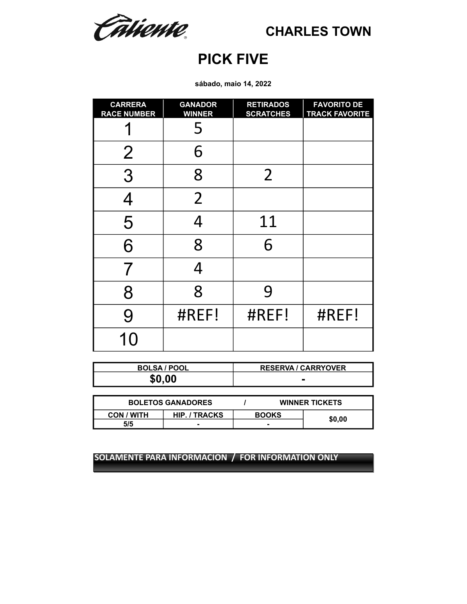Câtiente.

## **PICK FIVE**

**sábado, maio 14, 2022**

| <b>CARRERA</b><br><b>RACE NUMBER</b> | <b>GANADOR</b><br><b>WINNER</b> | <b>RETIRADOS</b><br><b>SCRATCHES</b> | <b>FAVORITO DE</b><br><b>TRACK FAVORITE</b> |
|--------------------------------------|---------------------------------|--------------------------------------|---------------------------------------------|
|                                      | 5                               |                                      |                                             |
| $\overline{2}$                       | 6                               |                                      |                                             |
| 3                                    | 8                               | $\overline{2}$                       |                                             |
| $\boldsymbol{\Delta}$                | $\overline{2}$                  |                                      |                                             |
| 5                                    | 4                               | 11                                   |                                             |
| 6                                    | 8                               | 6                                    |                                             |
| 7                                    | 4                               |                                      |                                             |
| 8                                    | 8                               | 9                                    |                                             |
| 9                                    | #REF!                           | #REF!                                | #REF!                                       |
| $\bigcap$                            |                                 |                                      |                                             |

| <b>BOLSA / POOL</b> | <b>RESERVA / CARRYOVER</b> |
|---------------------|----------------------------|
| \$0,00              |                            |

| <b>BOLETOS GANADORES</b> |                      |              | <b>WINNER TICKETS</b> |  |
|--------------------------|----------------------|--------------|-----------------------|--|
| CON / WITH               | <b>HIP. / TRACKS</b> | <b>BOOKS</b> |                       |  |
| 5/5                      |                      |              | \$0,00                |  |
|                          |                      |              |                       |  |

**SOLAMENTE PARA INFORMACION / FOR INFORMATION ONLY SOLAMENTE PARA INFORMACION / FOR INFORMATION ONLY**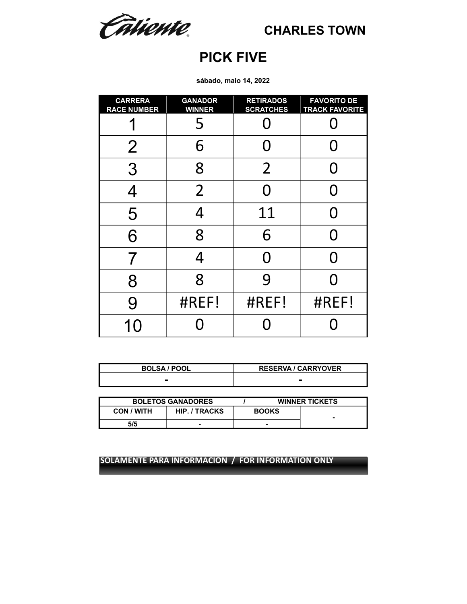Câtiente.

## **PICK FIVE**

**sábado, maio 14, 2022**

| <b>CARRERA</b><br><b>RACE NUMBER</b> | <b>GANADOR</b><br><b>WINNER</b> | <b>RETIRADOS</b><br><b>SCRATCHES</b> | <b>FAVORITO DE</b><br><b>TRACK FAVORITE</b> |
|--------------------------------------|---------------------------------|--------------------------------------|---------------------------------------------|
|                                      | 5                               |                                      |                                             |
| $\overline{2}$                       | 6                               | O                                    | O                                           |
| 3                                    | 8                               | $\overline{2}$                       | O                                           |
| 4                                    | $\overline{2}$                  | N                                    | N                                           |
| 5                                    | 4                               | 11                                   | O                                           |
| 6                                    | 8                               | 6                                    | N                                           |
| 7                                    | 4                               | N                                    | O                                           |
| 8                                    | 8                               | 9                                    |                                             |
| 9                                    | #REF!                           | #REF!                                | #REF!                                       |
| 10                                   |                                 |                                      |                                             |

| <b>BOLSA / POOL</b> | <b>RESERVA / CARRYOVER</b> |
|---------------------|----------------------------|
|                     |                            |

| <b>BOLETOS GANADORES</b> |                      | <b>WINNER TICKETS</b> |   |
|--------------------------|----------------------|-----------------------|---|
| <b>CON / WITH</b>        | <b>HIP. / TRACKS</b> | <b>BOOKS</b>          | - |
| 5/5                      |                      |                       |   |

**SOLAMENTE PARA INFORMACION / FOR INFORMATION ONLY**